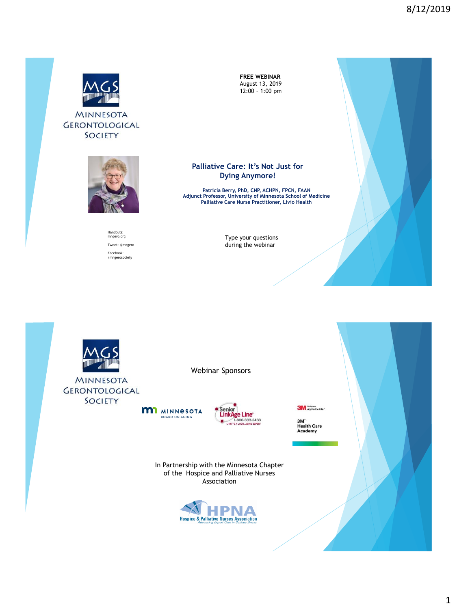

**MINNESOTA** GERONTOLOGICAL SOCIETY



#### Handouts: mngero.org Tweet: @mngero Facebook: /mngerosociety

**FREE WEBINAR** August 13, 2019 12:00 – 1:00 pm



**Patricia Berry, PhD, CNP, ACHPN, FPCN, FAAN Adjunct Professor, University of Minnesota School of Medicine Palliative Care Nurse Practitioner, Livio Health**

Type your questions during the webinar



**MINNESOTA GERONTOLOGICAL** SOCIETY

Webinar Sponsors





**3M** Science.

3M<sup>-</sup><br>Health Care<br>Academy

In Partnership with the Minnesota Chapter of the Hospice and Palliative Nurses Association

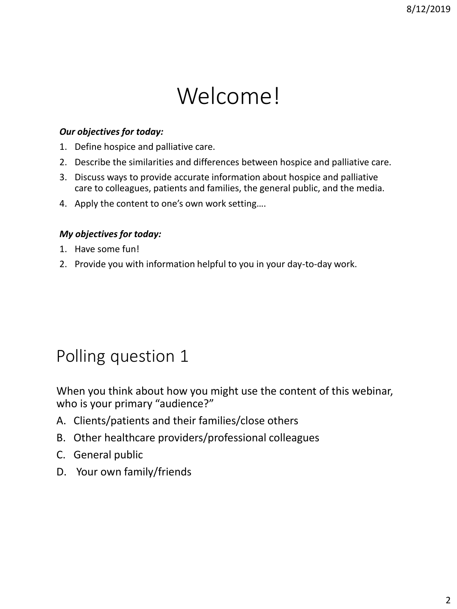# Welcome!

#### *Our objectives for today:*

- 1. Define hospice and palliative care.
- 2. Describe the similarities and differences between hospice and palliative care.
- 3. Discuss ways to provide accurate information about hospice and palliative care to colleagues, patients and families, the general public, and the media.
- 4. Apply the content to one's own work setting….

#### *My objectives for today:*

- 1. Have some fun!
- 2. Provide you with information helpful to you in your day-to-day work.

#### Polling question 1

When you think about how you might use the content of this webinar, who is your primary "audience?"

- A. Clients/patients and their families/close others
- B. Other healthcare providers/professional colleagues
- C. General public
- D. Your own family/friends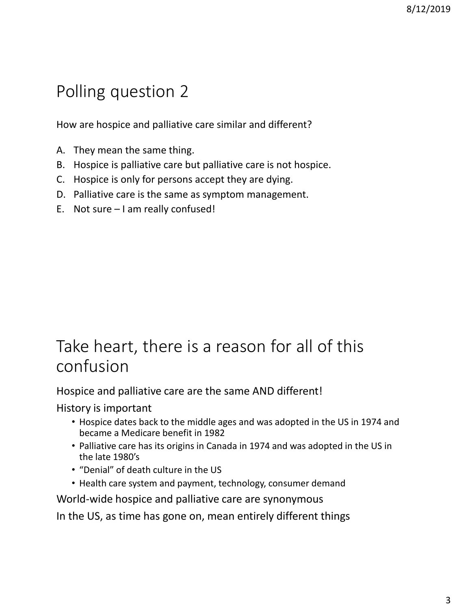## Polling question 2

How are hospice and palliative care similar and different?

- A. They mean the same thing.
- B. Hospice is palliative care but palliative care is not hospice.
- C. Hospice is only for persons accept they are dying.
- D. Palliative care is the same as symptom management.
- E. Not sure I am really confused!

### Take heart, there is a reason for all of this confusion

Hospice and palliative care are the same AND different!

History is important

- Hospice dates back to the middle ages and was adopted in the US in 1974 and became a Medicare benefit in 1982
- Palliative care has its origins in Canada in 1974 and was adopted in the US in the late 1980's
- "Denial" of death culture in the US
- Health care system and payment, technology, consumer demand

World-wide hospice and palliative care are synonymous

In the US, as time has gone on, mean entirely different things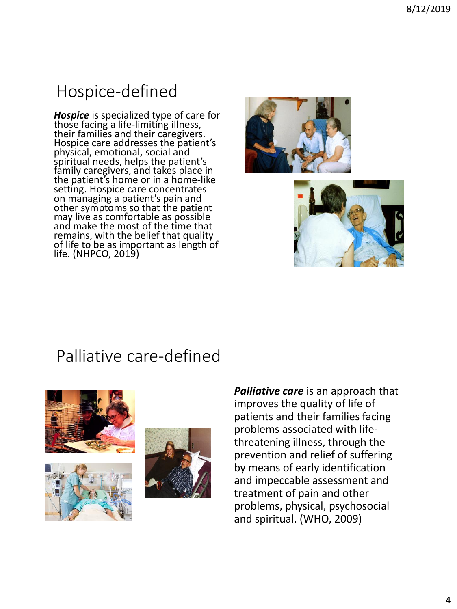## Hospice-defined

*Hospice* is specialized type of care for those facing a life-limiting illness, their families and their caregivers. Hospice care addresses the patient's physical, emotional, social and spiritual needs, helps the patient's family caregivers, and takes place in the patient's home or in a home-like setting. Hospice care concentrates on managing a patient's pain and other symptoms so that the patient may live as comfortable as possible and make the most of the time that remains, with the belief that quality of life to be as important as length of life. (NHPCO, 2019)





#### Palliative care-defined







*Palliative care* is an approach that improves the quality of life of patients and their families facing problems associated with lifethreatening illness, through the prevention and relief of suffering by means of early identification and impeccable assessment and treatment of pain and other problems, physical, psychosocial and spiritual. (WHO, 2009)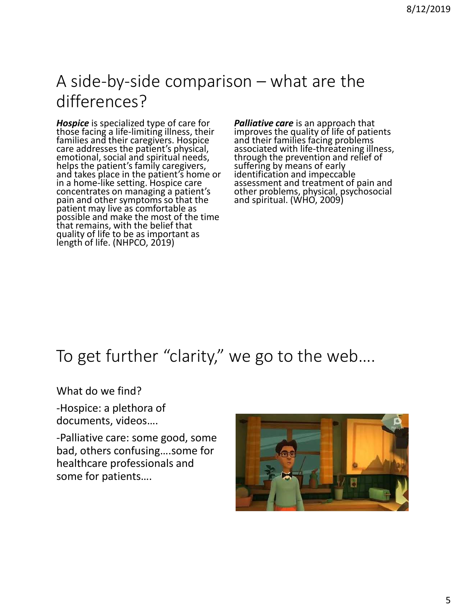### A side-by-side comparison – what are the differences?

*Hospice* is specialized type of care for those facing a life-limiting illness, their families and their caregivers. Hospice care addresses the patient's physical, emotional, social and spiritual needs, helps the patient's family caregivers,  $\tilde{ }$ and takes place in the patient's home or in a home-like setting. Hospice care concentrates on managing a patient's pain and other symptoms so that the patient may live as comfortable as possible and make the most of the time that remains, with the belief that quality of life to be as important as length of life. (NHPCO, 2019)

*Palliative care* is an approach that improves the quality of life of patients and their families facing problems associated with life-threatening illness, through the prevention and relief of suffering by means of early identification and impeccable assessment and treatment of pain and other problems, physical, psychosocial and spiritual. (WHO, 2009)

### To get further "clarity," we go to the web….

What do we find?

-Hospice: a plethora of documents, videos….

-Palliative care: some good, some bad, others confusing….some for healthcare professionals and some for patients….

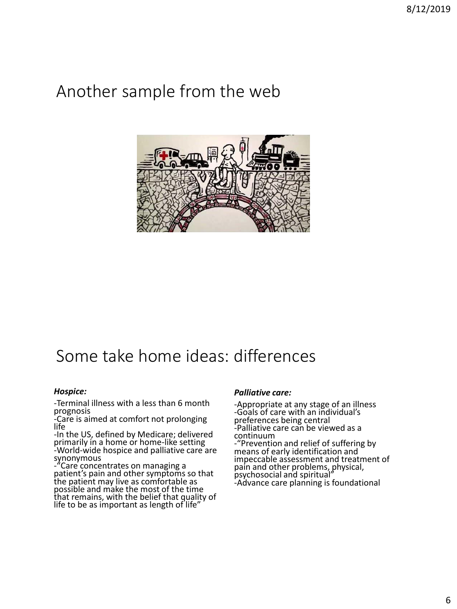### Another sample from the web



### Some take home ideas: differences

#### *Hospice:*

-Terminal illness with a less than 6 month prognosis

-Care is aimed at comfort not prolonging life

-In the US, defined by Medicare; delivered primarily in a home or home-like setting -World-wide hospice and palliative care are synonymous

-"Care concentrates on managing a patient's pain and other symptoms so that the patient may live as comfortable as possible and make the most of the time that remains, with the belief that quality of life to be as important as length of life"

#### *Palliative care:*

-Appropriate at any stage of an illness -Goals of care with an individual's preferences being central -Palliative care can be viewed as a continuum

-"Prevention and relief of suffering by means of early identification and impeccable assessment and treatment of pain and other problems, physical, psychosocial and spiritual" -Advance care planning is foundational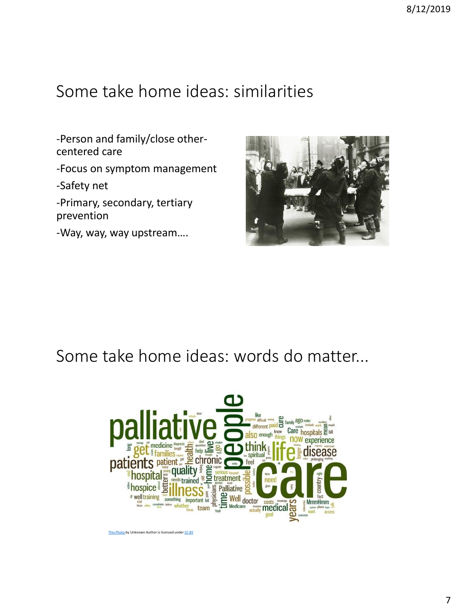### Some take home ideas: similarities

-Person and family/close othercentered care -Focus on symptom management -Safety net -Primary, secondary, tertiary prevention

-Way, way, way upstream….



#### Some take home ideas: words do matter...

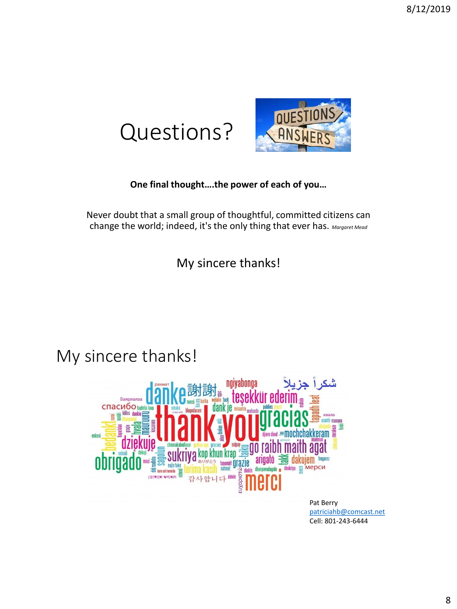



#### **One final thought….the power of each of you…**

Never doubt that a small group of thoughtful, committed citizens can change the world; indeed, it's the only thing that ever has. *Margaret Mead*

My sincere thanks!

#### My sincere thanks!



[patriciahb@comcast.net](mailto:patriciahb@comcast.net) Cell: 801-243-6444